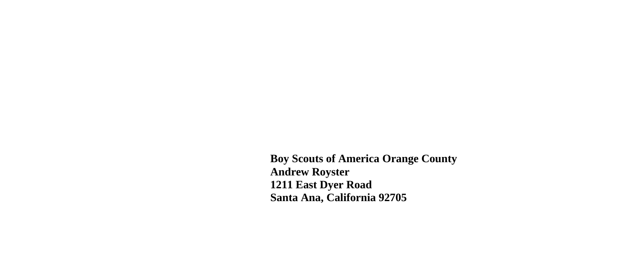**Boy Scouts of America Orange County Andrew Royster 1211 East Dyer Road Santa Ana, California 92705**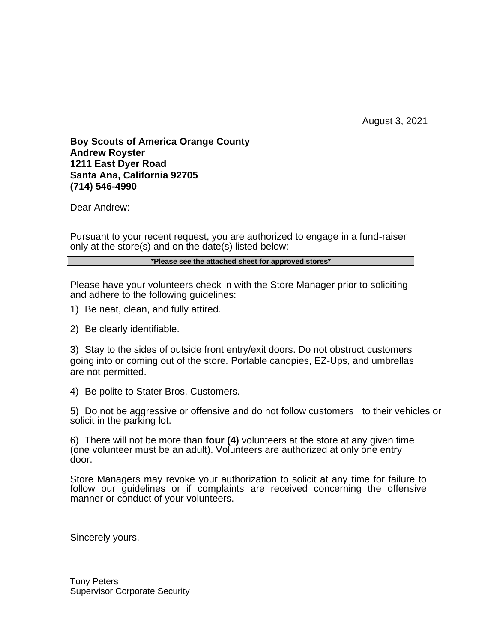August 3, 2021

**Boy Scouts of America Orange County Andrew Royster 1211 East Dyer Road Santa Ana, California 92705 (714) 546-4990**

Dear Andrew:

Pursuant to your recent request, you are authorized to engage in a fund-raiser only at the store(s) and on the date(s) listed below:

## **\*Please see the attached sheet for approved stores\***

Please have your volunteers check in with the Store Manager prior to soliciting and adhere to the following quidelines:

- 1) Be neat, clean, and fully attired.
- 2) Be clearly identifiable.

3) Stay to the sides of outside front entry/exit doors. Do not obstruct customers going into or coming out of the store. Portable canopies, EZ-Ups, and umbrellas are not permitted.

4) Be polite to Stater Bros. Customers.

5) Do not be aggressive or offensive and do not follow customers to their vehicles or solicit in the parking lot.

6) There will not be more than **four (4)** volunteers at the store at any given time (one volunteer must be an adult). Volunteers are authorized at only one entry door.

Store Managers may revoke your authorization to solicit at any time for failure to follow our guidelines or if complaints are received concerning the offensive manner or conduct of your volunteers.

Sincerely yours,

Tony Peters Supervisor Corporate Security